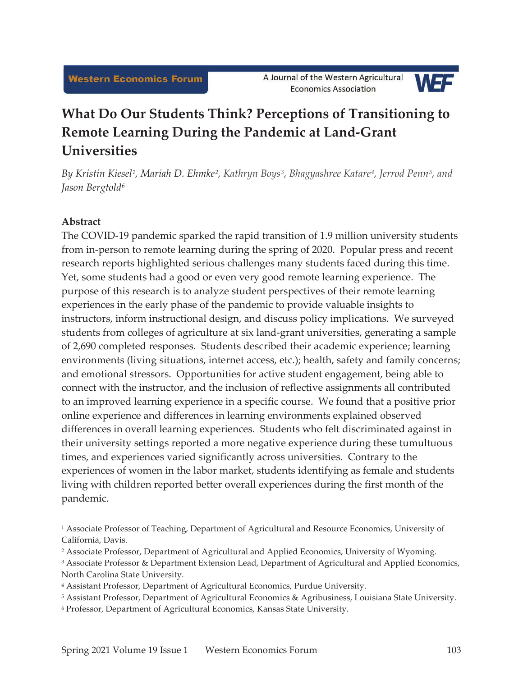

# **What Do Our Students Think? Perceptions of Transitioning to Remote Learning During the Pandemic at Land-Grant Universities**

By Kristin Kiesel<sup>1</sup>, Mariah D. Ehmke<sup>2</sup>, Kathryn Boys<sup>3</sup>, Bhagyashree Katare<sup>4</sup>, Jerrod Penn<sup>5</sup>, and *Jason Bergtold6*

# **Abstract**

The COVID-19 pandemic sparked the rapid transition of 1.9 million university students from in-person to remote learning during the spring of 2020. Popular press and recent research reports highlighted serious challenges many students faced during this time. Yet, some students had a good or even very good remote learning experience. The purpose of this research is to analyze student perspectives of their remote learning experiences in the early phase of the pandemic to provide valuable insights to instructors, inform instructional design, and discuss policy implications. We surveyed students from colleges of agriculture at six land-grant universities, generating a sample of 2,690 completed responses. Students described their academic experience; learning environments (living situations, internet access, etc.); health, safety and family concerns; and emotional stressors. Opportunities for active student engagement, being able to connect with the instructor, and the inclusion of reflective assignments all contributed to an improved learning experience in a specific course. We found that a positive prior online experience and differences in learning environments explained observed differences in overall learning experiences. Students who felt discriminated against in their university settings reported a more negative experience during these tumultuous times, and experiences varied significantly across universities. Contrary to the experiences of women in the labor market, students identifying as female and students living with children reported better overall experiences during the first month of the pandemic.

<sup>1</sup> Associate Professor of Teaching, Department of Agricultural and Resource Economics, University of California, Davis.

<sup>2</sup> Associate Professor, Department of Agricultural and Applied Economics, University of Wyoming.

<sup>&</sup>lt;sup>3</sup> Associate Professor & Department Extension Lead, Department of Agricultural and Applied Economics, North Carolina State University.

<sup>4</sup> Assistant Professor, Department of Agricultural Economics, Purdue University.

<sup>5</sup> Assistant Professor, Department of Agricultural Economics & Agribusiness, Louisiana State University.

<sup>6</sup> Professor, Department of Agricultural Economics, Kansas State University.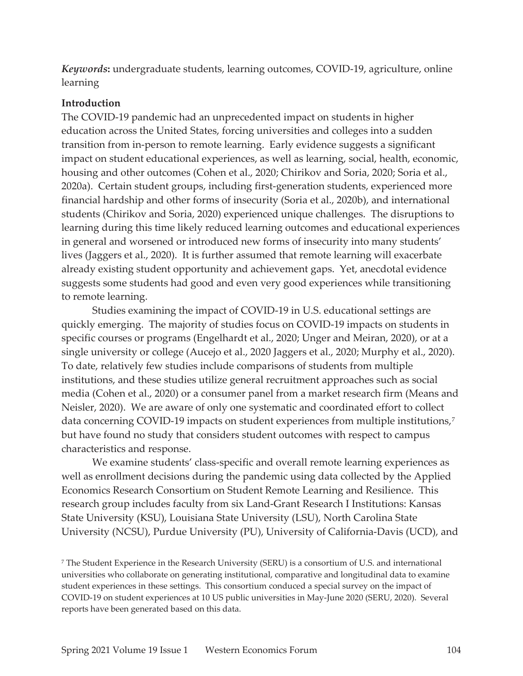*Keywords***:** undergraduate students, learning outcomes, COVID-19, agriculture, online learning

#### **Introduction**

The COVID-19 pandemic had an unprecedented impact on students in higher education across the United States, forcing universities and colleges into a sudden transition from in-person to remote learning. Early evidence suggests a significant impact on student educational experiences, as well as learning, social, health, economic, housing and other outcomes (Cohen et al., 2020; Chirikov and Soria, 2020; Soria et al., 2020a). Certain student groups, including first-generation students, experienced more financial hardship and other forms of insecurity (Soria et al., 2020b), and international students (Chirikov and Soria, 2020) experienced unique challenges. The disruptions to learning during this time likely reduced learning outcomes and educational experiences in general and worsened or introduced new forms of insecurity into many students' lives (Jaggers et al., 2020). It is further assumed that remote learning will exacerbate already existing student opportunity and achievement gaps. Yet, anecdotal evidence suggests some students had good and even very good experiences while transitioning to remote learning.

Studies examining the impact of COVID-19 in U.S. educational settings are quickly emerging. The majority of studies focus on COVID-19 impacts on students in specific courses or programs (Engelhardt et al., 2020; Unger and Meiran, 2020), or at a single university or college (Aucejo et al., 2020 Jaggers et al., 2020; Murphy et al., 2020). To date, relatively few studies include comparisons of students from multiple institutions, and these studies utilize general recruitment approaches such as social media (Cohen et al., 2020) or a consumer panel from a market research firm (Means and Neisler, 2020). We are aware of only one systematic and coordinated effort to collect data concerning COVID-19 impacts on student experiences from multiple institutions,<sup>7</sup> but have found no study that considers student outcomes with respect to campus characteristics and response.

We examine students' class-specific and overall remote learning experiences as well as enrollment decisions during the pandemic using data collected by the Applied Economics Research Consortium on Student Remote Learning and Resilience. This research group includes faculty from six Land-Grant Research I Institutions: Kansas State University (KSU), Louisiana State University (LSU), North Carolina State University (NCSU), Purdue University (PU), University of California-Davis (UCD), and

7 The Student Experience in the Research University (SERU) is a consortium of U.S. and international universities who collaborate on generating institutional, comparative and longitudinal data to examine student experiences in these settings. This consortium conduced a special survey on the impact of COVID-19 on student experiences at 10 US public universities in May-June 2020 (SERU, 2020). Several reports have been generated based on this data.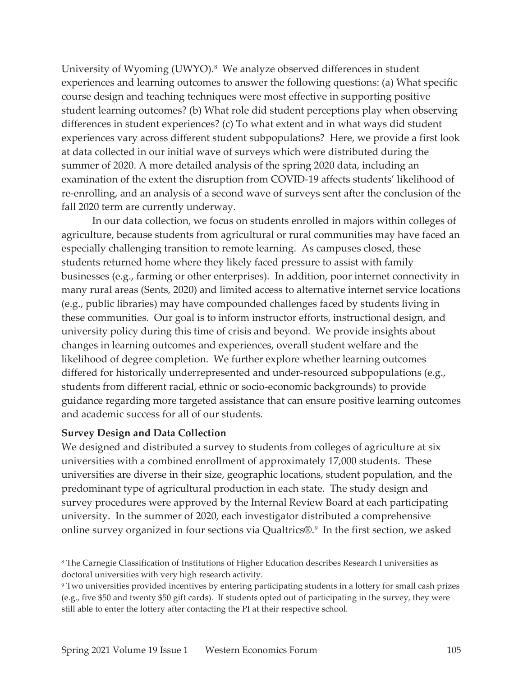University of Wyoming (UWYO).<sup>8</sup> We analyze observed differences in student experiences and learning outcomes to answer the following questions: (a) What specific course design and teaching techniques were most effective in supporting positive student learning outcomes? (b) What role did student perceptions play when observing differences in student experiences? (c) To what extent and in what ways did student experiences vary across different student subpopulations? Here, we provide a first look at data collected in our initial wave of surveys which were distributed during the summer of 2020. A more detailed analysis of the spring 2020 data, including an examination of the extent the disruption from COVID-19 affects students' likelihood of re-enrolling, and an analysis of a second wave of surveys sent after the conclusion of the fall 2020 term are currently underway.

In our data collection, we focus on students enrolled in majors within colleges of agriculture, because students from agricultural or rural communities may have faced an especially challenging transition to remote learning. As campuses closed, these students returned home where they likely faced pressure to assist with family businesses (e.g., farming or other enterprises). In addition, poor internet connectivity in many rural areas (Sents, 2020) and limited access to alternative internet service locations (e.g., public libraries) may have compounded challenges faced by students living in these communities. Our goal is to inform instructor efforts, instructional design, and university policy during this time of crisis and beyond. We provide insights about changes in learning outcomes and experiences, overall student welfare and the likelihood of degree completion. We further explore whether learning outcomes differed for historically underrepresented and under-resourced subpopulations (e.g., students from different racial, ethnic or socio-economic backgrounds) to provide guidance regarding more targeted assistance that can ensure positive learning outcomes and academic success for all of our students.

#### **Survey Design and Data Collection**

We designed and distributed a survey to students from colleges of agriculture at six universities with a combined enrollment of approximately 17,000 students. These universities are diverse in their size, geographic locations, student population, and the predominant type of agricultural production in each state. The study design and survey procedures were approved by the Internal Review Board at each participating university. In the summer of 2020, each investigator distributed a comprehensive online survey organized in four sections via Qualtrics®.9 In the first section, we asked

<sup>8</sup> The Carnegie Classification of Institutions of Higher Education describes Research I universities as doctoral universities with very high research activity.

<sup>9</sup> Two universities provided incentives by entering participating students in a lottery for small cash prizes (e.g., five \$50 and twenty \$50 gift cards). If students opted out of participating in the survey, they were still able to enter the lottery after contacting the PI at their respective school.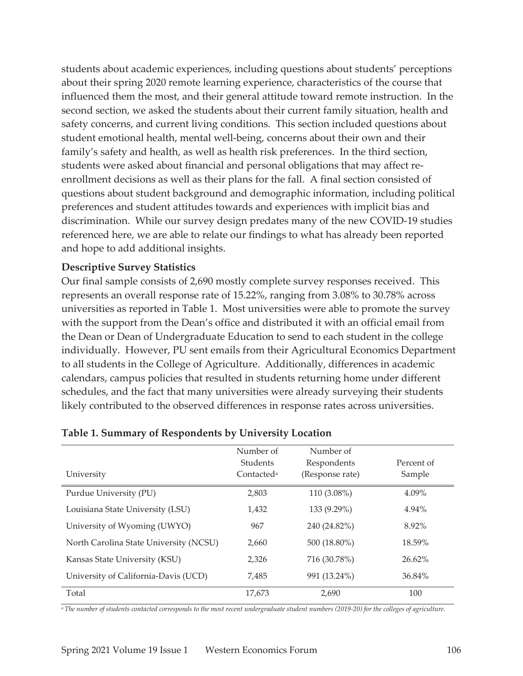students about academic experiences, including questions about students' perceptions about their spring 2020 remote learning experience, characteristics of the course that influenced them the most, and their general attitude toward remote instruction. In the second section, we asked the students about their current family situation, health and safety concerns, and current living conditions. This section included questions about student emotional health, mental well-being, concerns about their own and their family's safety and health, as well as health risk preferences. In the third section, students were asked about financial and personal obligations that may affect reenrollment decisions as well as their plans for the fall. A final section consisted of questions about student background and demographic information, including political preferences and student attitudes towards and experiences with implicit bias and discrimination. While our survey design predates many of the new COVID-19 studies referenced here, we are able to relate our findings to what has already been reported and hope to add additional insights.

## **Descriptive Survey Statistics**

Our final sample consists of 2,690 mostly complete survey responses received. This represents an overall response rate of 15.22%, ranging from 3.08% to 30.78% across universities as reported in Table 1. Most universities were able to promote the survey with the support from the Dean's office and distributed it with an official email from the Dean or Dean of Undergraduate Education to send to each student in the college individually. However, PU sent emails from their Agricultural Economics Department to all students in the College of Agriculture. Additionally, differences in academic calendars, campus policies that resulted in students returning home under different schedules, and the fact that many universities were already surveying their students likely contributed to the observed differences in response rates across universities.

| University                             | Number of<br><b>Students</b><br>Contacted <sup>a</sup> | Number of<br>Respondents<br>(Response rate) | Percent of<br>Sample |
|----------------------------------------|--------------------------------------------------------|---------------------------------------------|----------------------|
| Purdue University (PU)                 | 2,803                                                  | 110 (3.08%)                                 | 4.09%                |
| Louisiana State University (LSU)       | 1,432                                                  | 133 (9.29%)                                 | 4.94%                |
| University of Wyoming (UWYO)           | 967                                                    | 240 (24.82%)                                | 8.92%                |
| North Carolina State University (NCSU) | 2,660                                                  | 500 (18.80%)                                | 18.59%               |
| Kansas State University (KSU)          | 2,326                                                  | 716 (30.78%)                                | $26.62\%$            |
| University of California-Davis (UCD)   | 7,485                                                  | 991 (13.24%)                                | 36.84%               |
| Total                                  | 17,673                                                 | 2,690                                       | 100                  |

#### **Table 1. Summary of Respondents by University Location**

*a The number of students contacted corresponds to the most recent undergraduate student numbers (2019-20) for the colleges of agriculture.*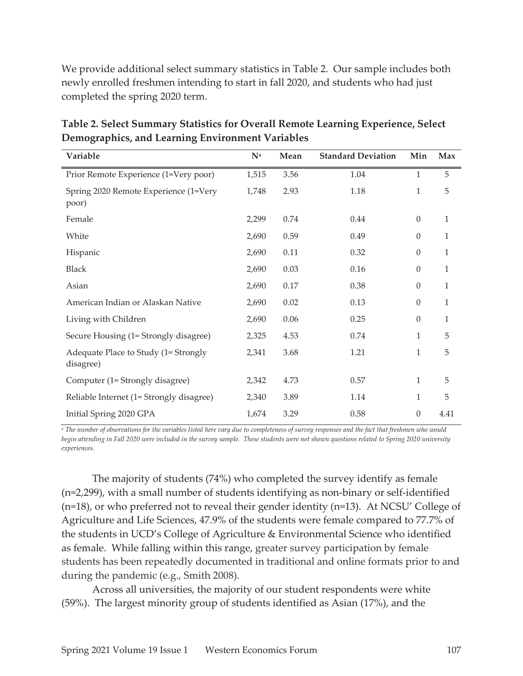We provide additional select summary statistics in Table 2. Our sample includes both newly enrolled freshmen intending to start in fall 2020, and students who had just completed the spring 2020 term.

| Variable                                          | $\mathbf{N}^{\text{a}}$ | Mean | <b>Standard Deviation</b> | Min              | Max          |
|---------------------------------------------------|-------------------------|------|---------------------------|------------------|--------------|
| Prior Remote Experience (1=Very poor)             | 1,515                   | 3.56 | 1.04                      | 1                | 5            |
| Spring 2020 Remote Experience (1=Very<br>poor)    | 1,748                   | 2.93 | 1.18                      | $\mathbf{1}$     | 5            |
| Female                                            | 2,299                   | 0.74 | 0.44                      | $\theta$         | 1            |
| White                                             | 2,690                   | 0.59 | 0.49                      | $\theta$         | 1            |
| Hispanic                                          | 2,690                   | 0.11 | 0.32                      | $\theta$         | $\mathbf{1}$ |
| <b>Black</b>                                      | 2,690                   | 0.03 | 0.16                      | $\theta$         | 1            |
| Asian                                             | 2,690                   | 0.17 | 0.38                      | $\boldsymbol{0}$ | 1            |
| American Indian or Alaskan Native                 | 2,690                   | 0.02 | 0.13                      | $\theta$         | 1            |
| Living with Children                              | 2,690                   | 0.06 | 0.25                      | $\theta$         | 1            |
| Secure Housing (1= Strongly disagree)             | 2,325                   | 4.53 | 0.74                      | 1                | 5            |
| Adequate Place to Study (1= Strongly<br>disagree) | 2,341                   | 3.68 | 1.21                      | 1                | 5            |
| Computer (1= Strongly disagree)                   | 2,342                   | 4.73 | 0.57                      | 1                | 5            |
| Reliable Internet (1= Strongly disagree)          | 2,340                   | 3.89 | 1.14                      | 1                | 5            |
| Initial Spring 2020 GPA                           | 1,674                   | 3.29 | 0.58                      | $\theta$         | 4.41         |

**Table 2. Select Summary Statistics for Overall Remote Learning Experience, Select Demographics, and Learning Environment Variables** 

*a The number of observations for the variables listed here vary due to completeness of survey responses and the fact that freshmen who would begin attending in Fall 2020 were included in the survey sample. These students were not shown questions related to Spring 2020 university experiences.* 

The majority of students (74%) who completed the survey identify as female (n=2,299), with a small number of students identifying as non-binary or self-identified (n=18), or who preferred not to reveal their gender identity (n=13). At NCSU' College of Agriculture and Life Sciences, 47.9% of the students were female compared to 77.7% of the students in UCD's College of Agriculture & Environmental Science who identified as female. While falling within this range, greater survey participation by female students has been repeatedly documented in traditional and online formats prior to and during the pandemic (e.g., Smith 2008).

Across all universities, the majority of our student respondents were white (59%). The largest minority group of students identified as Asian (17%), and the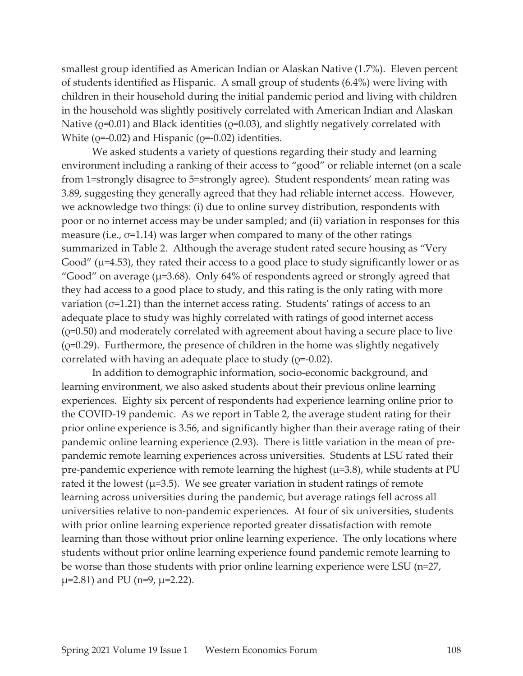smallest group identified as American Indian or Alaskan Native (1.7%). Eleven percent of students identified as Hispanic. A small group of students (6.4%) were living with children in their household during the initial pandemic period and living with children in the household was slightly positively correlated with American Indian and Alaskan Native ( $Q$ =0.01) and Black identities ( $Q$ =0.03), and slightly negatively correlated with White ( $\varphi$ =-0.02) and Hispanic ( $\varphi$ =-0.02) identities.

We asked students a variety of questions regarding their study and learning environment including a ranking of their access to "good" or reliable internet (on a scale from 1=strongly disagree to 5=strongly agree). Student respondents' mean rating was 3.89, suggesting they generally agreed that they had reliable internet access. However, we acknowledge two things: (i) due to online survey distribution, respondents with poor or no internet access may be under sampled; and (ii) variation in responses for this measure (i.e.,  $\sigma$ =1.14) was larger when compared to many of the other ratings summarized in Table 2. Although the average student rated secure housing as "Very Good" ( $\mu$ =4.53), they rated their access to a good place to study significantly lower or as "Good" on average ( $\mu$ =3.68). Only 64% of respondents agreed or strongly agreed that they had access to a good place to study, and this rating is the only rating with more variation ( $\sigma$ =1.21) than the internet access rating. Students' ratings of access to an adequate place to study was highly correlated with ratings of good internet access  $(Q=0.50)$  and moderately correlated with agreement about having a secure place to live  $(e=0.29)$ . Furthermore, the presence of children in the home was slightly negatively correlated with having an adequate place to study (Q=-0.02).

In addition to demographic information, socio-economic background, and learning environment, we also asked students about their previous online learning experiences. Eighty six percent of respondents had experience learning online prior to the COVID-19 pandemic. As we report in Table 2, the average student rating for their prior online experience is 3.56, and significantly higher than their average rating of their pandemic online learning experience (2.93). There is little variation in the mean of prepandemic remote learning experiences across universities. Students at LSU rated their pre-pandemic experience with remote learning the highest ( $\mu$ =3.8), while students at PU rated it the lowest ( $\mu$ =3.5). We see greater variation in student ratings of remote learning across universities during the pandemic, but average ratings fell across all universities relative to non-pandemic experiences. At four of six universities, students with prior online learning experience reported greater dissatisfaction with remote learning than those without prior online learning experience. The only locations where students without prior online learning experience found pandemic remote learning to be worse than those students with prior online learning experience were LSU (n=27,  $\mu$ =2.81) and PU (n=9,  $\mu$ =2.22).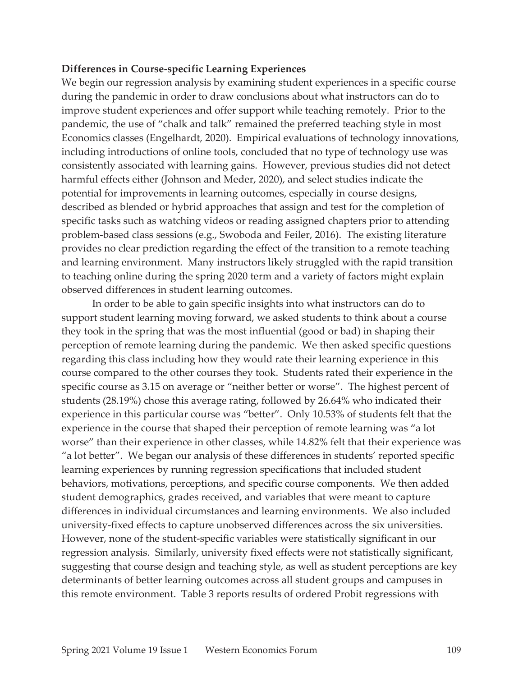#### **Differences in Course-specific Learning Experiences**

We begin our regression analysis by examining student experiences in a specific course during the pandemic in order to draw conclusions about what instructors can do to improve student experiences and offer support while teaching remotely. Prior to the pandemic, the use of "chalk and talk" remained the preferred teaching style in most Economics classes (Engelhardt, 2020). Empirical evaluations of technology innovations, including introductions of online tools, concluded that no type of technology use was consistently associated with learning gains. However, previous studies did not detect harmful effects either (Johnson and Meder, 2020), and select studies indicate the potential for improvements in learning outcomes, especially in course designs, described as blended or hybrid approaches that assign and test for the completion of specific tasks such as watching videos or reading assigned chapters prior to attending problem-based class sessions (e.g., Swoboda and Feiler, 2016). The existing literature provides no clear prediction regarding the effect of the transition to a remote teaching and learning environment. Many instructors likely struggled with the rapid transition to teaching online during the spring 2020 term and a variety of factors might explain observed differences in student learning outcomes.

In order to be able to gain specific insights into what instructors can do to support student learning moving forward, we asked students to think about a course they took in the spring that was the most influential (good or bad) in shaping their perception of remote learning during the pandemic. We then asked specific questions regarding this class including how they would rate their learning experience in this course compared to the other courses they took. Students rated their experience in the specific course as 3.15 on average or "neither better or worse". The highest percent of students (28.19%) chose this average rating, followed by 26.64% who indicated their experience in this particular course was "better". Only 10.53% of students felt that the experience in the course that shaped their perception of remote learning was "a lot worse" than their experience in other classes, while 14.82% felt that their experience was "a lot better". We began our analysis of these differences in students' reported specific learning experiences by running regression specifications that included student behaviors, motivations, perceptions, and specific course components. We then added student demographics, grades received, and variables that were meant to capture differences in individual circumstances and learning environments. We also included university-fixed effects to capture unobserved differences across the six universities. However, none of the student-specific variables were statistically significant in our regression analysis. Similarly, university fixed effects were not statistically significant, suggesting that course design and teaching style, as well as student perceptions are key determinants of better learning outcomes across all student groups and campuses in this remote environment. Table 3 reports results of ordered Probit regressions with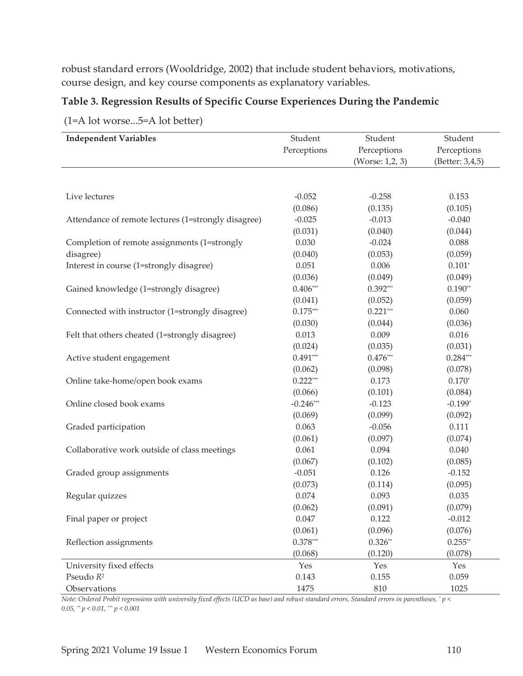robust standard errors (Wooldridge, 2002) that include student behaviors, motivations, course design, and key course components as explanatory variables.

## **Table 3. Regression Results of Specific Course Experiences During the Pandemic**

| <b>Independent Variables</b>                        | Student     | Student         | Student         |
|-----------------------------------------------------|-------------|-----------------|-----------------|
|                                                     | Perceptions | Perceptions     | Perceptions     |
|                                                     |             | (Worse: 1,2, 3) | (Better: 3,4,5) |
|                                                     |             |                 |                 |
|                                                     |             |                 |                 |
| Live lectures                                       | $-0.052$    | $-0.258$        | 0.153           |
|                                                     | (0.086)     | (0.135)         | (0.105)         |
| Attendance of remote lectures (1=strongly disagree) | $-0.025$    | $-0.013$        | $-0.040$        |
|                                                     | (0.031)     | (0.040)         | (0.044)         |
| Completion of remote assignments (1=strongly        | 0.030       | $-0.024$        | 0.088           |
| disagree)                                           | (0.040)     | (0.053)         | (0.059)         |
| Interest in course (1=strongly disagree)            | 0.051       | 0.006           | $0.101*$        |
|                                                     | (0.036)     | (0.049)         | (0.049)         |
| Gained knowledge (1=strongly disagree)              | $0.406***$  | $0.392***$      | $0.190**$       |
|                                                     | (0.041)     | (0.052)         | (0.059)         |
| Connected with instructor (1=strongly disagree)     | $0.175***$  | $0.221***$      | 0.060           |
|                                                     | (0.030)     | (0.044)         | (0.036)         |
| Felt that others cheated (1=strongly disagree)      | 0.013       | 0.009           | 0.016           |
|                                                     | (0.024)     | (0.035)         | (0.031)         |
| Active student engagement                           | $0.491***$  | $0.476***$      | $0.284***$      |
|                                                     | (0.062)     | (0.098)         | (0.078)         |
| Online take-home/open book exams                    | $0.222***$  | 0.173           | $0.170*$        |
|                                                     | (0.066)     | (0.101)         | (0.084)         |
| Online closed book exams                            | $-0.246***$ | $-0.123$        | $-0.199*$       |
|                                                     | (0.069)     | (0.099)         | (0.092)         |
| Graded participation                                | 0.063       | $-0.056$        | 0.111           |
|                                                     | (0.061)     | (0.097)         | (0.074)         |
| Collaborative work outside of class meetings        | 0.061       | 0.094           | 0.040           |
|                                                     | (0.067)     | (0.102)         | (0.085)         |
| Graded group assignments                            | $-0.051$    | 0.126           | $-0.152$        |
|                                                     | (0.073)     | (0.114)         | (0.095)         |
| Regular quizzes                                     | 0.074       | 0.093           | 0.035           |
|                                                     | (0.062)     | (0.091)         | (0.079)         |
| Final paper or project                              | 0.047       | 0.122           | $-0.012$        |
|                                                     | (0.061)     | (0.096)         | (0.076)         |
| Reflection assignments                              | $0.378***$  | $0.326**$       | $0.255**$       |
|                                                     | (0.068)     | (0.120)         | (0.078)         |
| University fixed effects                            | Yes         | Yes             | Yes             |
| Pseudo R <sup>2</sup>                               | 0.143       | 0.155           | 0.059           |
| Observations                                        | 1475        | 810             | 1025            |

(1=A lot worse...5=A lot better)

*Note: Ordered Probit regressions with university fixed effects (UCD as base) and robust standard errors, Standard errors in parentheses, \* p < 0.05, \*\* p < 0.01, \*\*\* p < 0.001*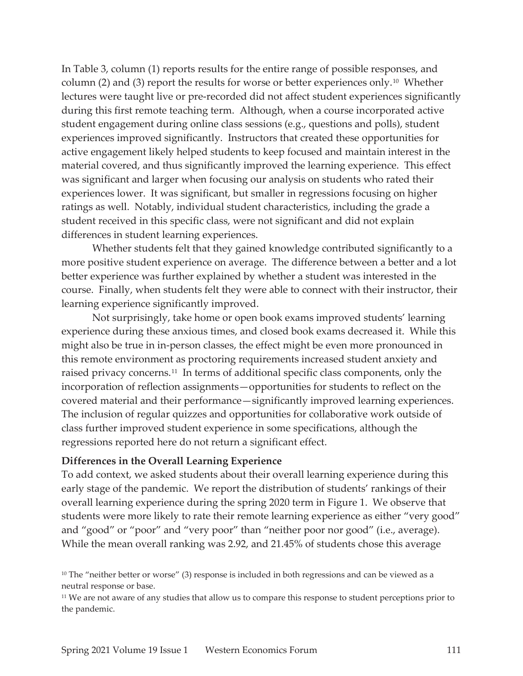In Table 3, column (1) reports results for the entire range of possible responses, and column (2) and (3) report the results for worse or better experiences only.<sup>10</sup> Whether lectures were taught live or pre-recorded did not affect student experiences significantly during this first remote teaching term. Although, when a course incorporated active student engagement during online class sessions (e.g., questions and polls), student experiences improved significantly. Instructors that created these opportunities for active engagement likely helped students to keep focused and maintain interest in the material covered, and thus significantly improved the learning experience. This effect was significant and larger when focusing our analysis on students who rated their experiences lower. It was significant, but smaller in regressions focusing on higher ratings as well. Notably, individual student characteristics, including the grade a student received in this specific class, were not significant and did not explain differences in student learning experiences.

Whether students felt that they gained knowledge contributed significantly to a more positive student experience on average. The difference between a better and a lot better experience was further explained by whether a student was interested in the course. Finally, when students felt they were able to connect with their instructor, their learning experience significantly improved.

Not surprisingly, take home or open book exams improved students' learning experience during these anxious times, and closed book exams decreased it. While this might also be true in in-person classes, the effect might be even more pronounced in this remote environment as proctoring requirements increased student anxiety and raised privacy concerns.11 In terms of additional specific class components, only the incorporation of reflection assignments—opportunities for students to reflect on the covered material and their performance—significantly improved learning experiences. The inclusion of regular quizzes and opportunities for collaborative work outside of class further improved student experience in some specifications, although the regressions reported here do not return a significant effect.

#### **Differences in the Overall Learning Experience**

To add context, we asked students about their overall learning experience during this early stage of the pandemic. We report the distribution of students' rankings of their overall learning experience during the spring 2020 term in Figure 1. We observe that students were more likely to rate their remote learning experience as either "very good" and "good" or "poor" and "very poor" than "neither poor nor good" (i.e., average). While the mean overall ranking was 2.92, and 21.45% of students chose this average

 $10$  The "neither better or worse" (3) response is included in both regressions and can be viewed as a neutral response or base.

<sup>11</sup> We are not aware of any studies that allow us to compare this response to student perceptions prior to the pandemic.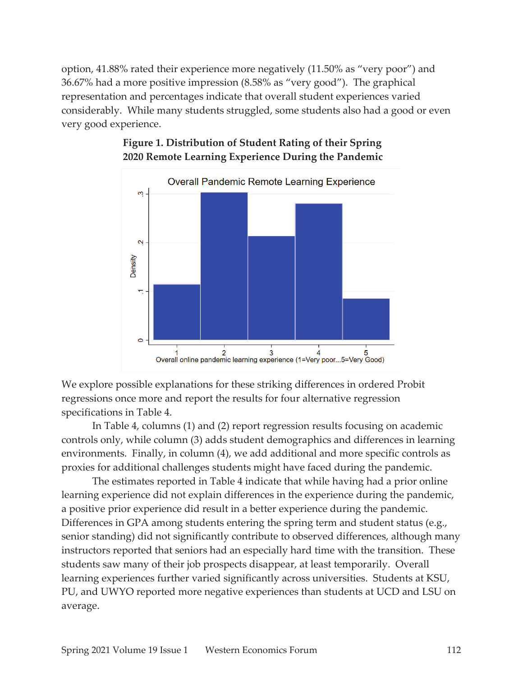option, 41.88% rated their experience more negatively (11.50% as "very poor") and 36.67% had a more positive impression (8.58% as "very good"). The graphical representation and percentages indicate that overall student experiences varied considerably. While many students struggled, some students also had a good or even very good experience.



# **Figure 1. Distribution of Student Rating of their Spring 2020 Remote Learning Experience During the Pandemic**

We explore possible explanations for these striking differences in ordered Probit regressions once more and report the results for four alternative regression specifications in Table 4.

In Table 4, columns (1) and (2) report regression results focusing on academic controls only, while column (3) adds student demographics and differences in learning environments. Finally, in column (4), we add additional and more specific controls as proxies for additional challenges students might have faced during the pandemic.

The estimates reported in Table 4 indicate that while having had a prior online learning experience did not explain differences in the experience during the pandemic, a positive prior experience did result in a better experience during the pandemic. Differences in GPA among students entering the spring term and student status (e.g., senior standing) did not significantly contribute to observed differences, although many instructors reported that seniors had an especially hard time with the transition. These students saw many of their job prospects disappear, at least temporarily. Overall learning experiences further varied significantly across universities. Students at KSU, PU, and UWYO reported more negative experiences than students at UCD and LSU on average.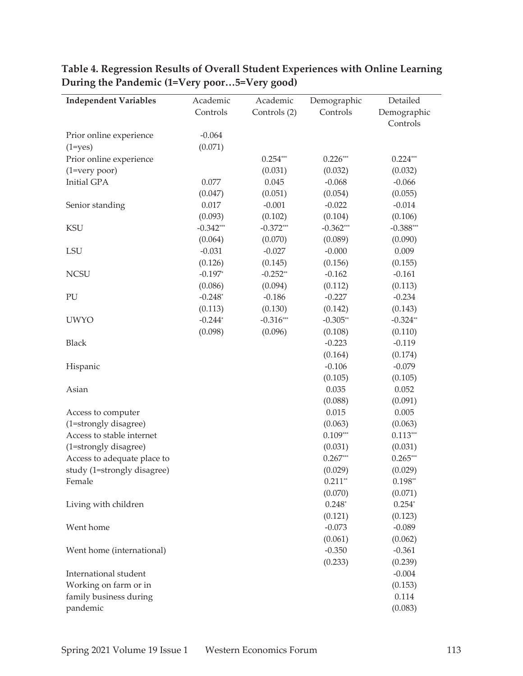| <b>Independent Variables</b> | Academic    | Academic     | Demographic | Detailed    |
|------------------------------|-------------|--------------|-------------|-------------|
|                              | Controls    | Controls (2) | Controls    | Demographic |
|                              |             |              |             | Controls    |
| Prior online experience      | $-0.064$    |              |             |             |
| $(1 = yes)$                  | (0.071)     |              |             |             |
| Prior online experience      |             | $0.254***$   | $0.226***$  | $0.224***$  |
| $(1=very poor)$              |             | (0.031)      | (0.032)     | (0.032)     |
| Initial GPA                  | 0.077       | 0.045        | $-0.068$    | $-0.066$    |
|                              | (0.047)     | (0.051)      | (0.054)     | (0.055)     |
| Senior standing              | 0.017       | $-0.001$     | $-0.022$    | $-0.014$    |
|                              | (0.093)     | (0.102)      | (0.104)     | (0.106)     |
| <b>KSU</b>                   | $-0.342***$ | $-0.372***$  | $-0.362***$ | $-0.388***$ |
|                              | (0.064)     | (0.070)      | (0.089)     | (0.090)     |
| LSU                          | $-0.031$    | $-0.027$     | $-0.000$    | 0.009       |
|                              | (0.126)     | (0.145)      | (0.156)     | (0.155)     |
| <b>NCSU</b>                  | $-0.197*$   | $-0.252**$   | $-0.162$    | $-0.161$    |
|                              | (0.086)     | (0.094)      | (0.112)     | (0.113)     |
| PU                           | $-0.248*$   | $-0.186$     | $-0.227$    | $-0.234$    |
|                              | (0.113)     | (0.130)      | (0.142)     | (0.143)     |
| <b>UWYO</b>                  | $-0.244*$   | $-0.316***$  | $-0.305**$  | $-0.324**$  |
|                              | (0.098)     | (0.096)      | (0.108)     | (0.110)     |
| <b>Black</b>                 |             |              | $-0.223$    | $-0.119$    |
|                              |             |              | (0.164)     | (0.174)     |
| Hispanic                     |             |              | $-0.106$    | $-0.079$    |
|                              |             |              | (0.105)     | (0.105)     |
| Asian                        |             |              | 0.035       | 0.052       |
|                              |             |              | (0.088)     | (0.091)     |
| Access to computer           |             |              | 0.015       | 0.005       |
| (1=strongly disagree)        |             |              | (0.063)     | (0.063)     |
| Access to stable internet    |             |              | $0.109***$  | $0.113***$  |
| (1=strongly disagree)        |             |              | (0.031)     | (0.031)     |
| Access to adequate place to  |             |              | $0.267***$  | $0.265***$  |
| study (1=strongly disagree)  |             |              | (0.029)     | (0.029)     |
| Female                       |             |              | $0.211**$   | $0.198**$   |
|                              |             |              | (0.070)     | (0.071)     |
| Living with children         |             |              | $0.248*$    | $0.254*$    |
|                              |             |              | (0.121)     | (0.123)     |
| Went home                    |             |              | $-0.073$    | $-0.089$    |
|                              |             |              | (0.061)     | (0.062)     |
| Went home (international)    |             |              | $-0.350$    | $-0.361$    |
|                              |             |              | (0.233)     | (0.239)     |
| International student        |             |              |             | $-0.004$    |
| Working on farm or in        |             |              |             | (0.153)     |
| family business during       |             |              |             | 0.114       |
| pandemic                     |             |              |             | (0.083)     |

**Table 4. Regression Results of Overall Student Experiences with Online Learning During the Pandemic (1=Very poor…5=Very good)**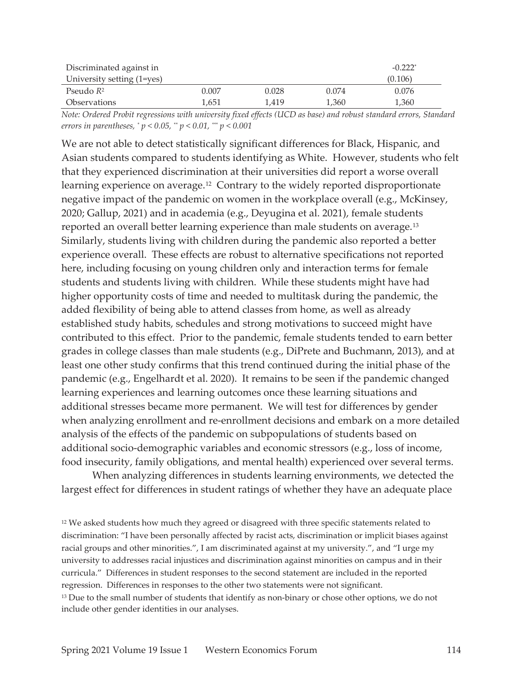| Discriminated against in   |       |       |       | $-0.222$ <sup>*</sup> |
|----------------------------|-------|-------|-------|-----------------------|
| University setting (1=yes) |       |       |       | (0.106)               |
| Pseudo $R^2$               | 0.007 | 0.028 | 0.074 | 0.076                 |
| <i><b>Observations</b></i> | 1.651 | 1.419 | 1,360 | 1,360                 |

*Note: Ordered Probit regressions with university fixed effects (UCD as base) and robust standard errors, Standard errors in parentheses, \* p < 0.05, \*\* p < 0.01, \*\*\* p < 0.001* 

We are not able to detect statistically significant differences for Black, Hispanic, and Asian students compared to students identifying as White. However, students who felt that they experienced discrimination at their universities did report a worse overall learning experience on average.<sup>12</sup> Contrary to the widely reported disproportionate negative impact of the pandemic on women in the workplace overall (e.g., McKinsey, 2020; Gallup, 2021) and in academia (e.g., Deyugina et al. 2021), female students reported an overall better learning experience than male students on average.13 Similarly, students living with children during the pandemic also reported a better experience overall. These effects are robust to alternative specifications not reported here, including focusing on young children only and interaction terms for female students and students living with children. While these students might have had higher opportunity costs of time and needed to multitask during the pandemic, the added flexibility of being able to attend classes from home, as well as already established study habits, schedules and strong motivations to succeed might have contributed to this effect. Prior to the pandemic, female students tended to earn better grades in college classes than male students (e.g., DiPrete and Buchmann, 2013), and at least one other study confirms that this trend continued during the initial phase of the pandemic (e.g., Engelhardt et al. 2020). It remains to be seen if the pandemic changed learning experiences and learning outcomes once these learning situations and additional stresses became more permanent. We will test for differences by gender when analyzing enrollment and re-enrollment decisions and embark on a more detailed analysis of the effects of the pandemic on subpopulations of students based on additional socio-demographic variables and economic stressors (e.g., loss of income, food insecurity, family obligations, and mental health) experienced over several terms.

When analyzing differences in students learning environments, we detected the largest effect for differences in student ratings of whether they have an adequate place

<sup>12</sup> We asked students how much they agreed or disagreed with three specific statements related to discrimination: "I have been personally affected by racist acts, discrimination or implicit biases against racial groups and other minorities.", I am discriminated against at my university.", and "I urge my university to addresses racial injustices and discrimination against minorities on campus and in their curricula." Differences in student responses to the second statement are included in the reported regression. Differences in responses to the other two statements were not significant. <sup>13</sup> Due to the small number of students that identify as non-binary or chose other options, we do not include other gender identities in our analyses.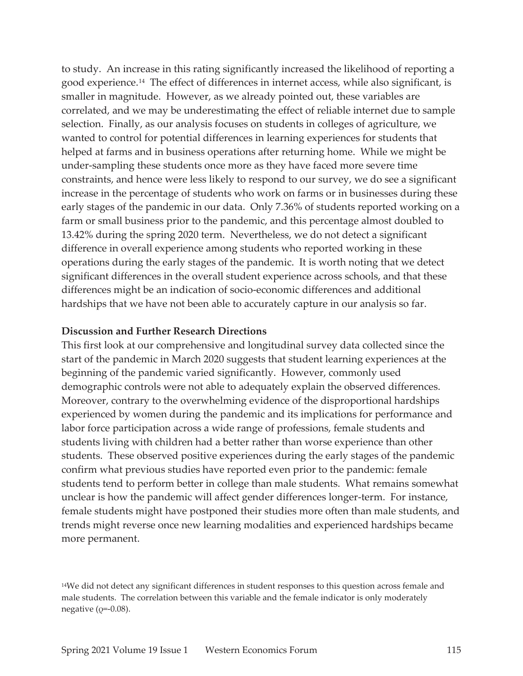to study. An increase in this rating significantly increased the likelihood of reporting a good experience.14 The effect of differences in internet access, while also significant, is smaller in magnitude. However, as we already pointed out, these variables are correlated, and we may be underestimating the effect of reliable internet due to sample selection. Finally, as our analysis focuses on students in colleges of agriculture, we wanted to control for potential differences in learning experiences for students that helped at farms and in business operations after returning home. While we might be under-sampling these students once more as they have faced more severe time constraints, and hence were less likely to respond to our survey, we do see a significant increase in the percentage of students who work on farms or in businesses during these early stages of the pandemic in our data. Only 7.36% of students reported working on a farm or small business prior to the pandemic, and this percentage almost doubled to 13.42% during the spring 2020 term. Nevertheless, we do not detect a significant difference in overall experience among students who reported working in these operations during the early stages of the pandemic. It is worth noting that we detect significant differences in the overall student experience across schools, and that these differences might be an indication of socio-economic differences and additional hardships that we have not been able to accurately capture in our analysis so far.

#### **Discussion and Further Research Directions**

This first look at our comprehensive and longitudinal survey data collected since the start of the pandemic in March 2020 suggests that student learning experiences at the beginning of the pandemic varied significantly. However, commonly used demographic controls were not able to adequately explain the observed differences. Moreover, contrary to the overwhelming evidence of the disproportional hardships experienced by women during the pandemic and its implications for performance and labor force participation across a wide range of professions, female students and students living with children had a better rather than worse experience than other students. These observed positive experiences during the early stages of the pandemic confirm what previous studies have reported even prior to the pandemic: female students tend to perform better in college than male students. What remains somewhat unclear is how the pandemic will affect gender differences longer-term. For instance, female students might have postponed their studies more often than male students, and trends might reverse once new learning modalities and experienced hardships became more permanent.

<sup>14</sup>We did not detect any significant differences in student responses to this question across female and male students. The correlation between this variable and the female indicator is only moderately negative ( $Q$ =-0.08).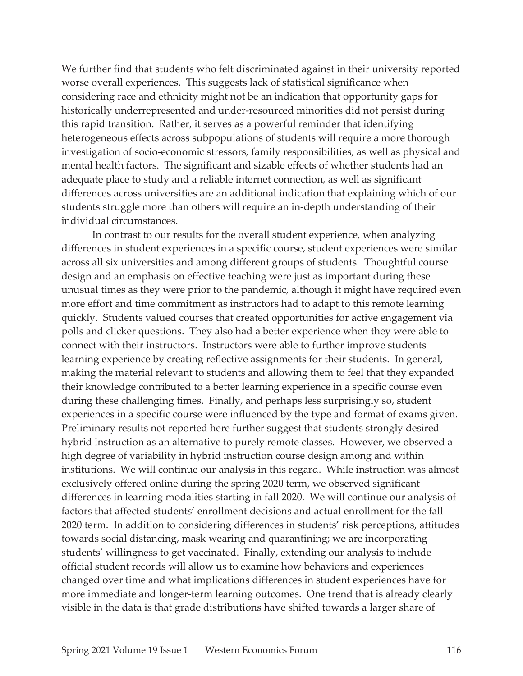We further find that students who felt discriminated against in their university reported worse overall experiences. This suggests lack of statistical significance when considering race and ethnicity might not be an indication that opportunity gaps for historically underrepresented and under-resourced minorities did not persist during this rapid transition. Rather, it serves as a powerful reminder that identifying heterogeneous effects across subpopulations of students will require a more thorough investigation of socio-economic stressors, family responsibilities, as well as physical and mental health factors. The significant and sizable effects of whether students had an adequate place to study and a reliable internet connection, as well as significant differences across universities are an additional indication that explaining which of our students struggle more than others will require an in-depth understanding of their individual circumstances.

In contrast to our results for the overall student experience, when analyzing differences in student experiences in a specific course, student experiences were similar across all six universities and among different groups of students. Thoughtful course design and an emphasis on effective teaching were just as important during these unusual times as they were prior to the pandemic, although it might have required even more effort and time commitment as instructors had to adapt to this remote learning quickly. Students valued courses that created opportunities for active engagement via polls and clicker questions. They also had a better experience when they were able to connect with their instructors. Instructors were able to further improve students learning experience by creating reflective assignments for their students. In general, making the material relevant to students and allowing them to feel that they expanded their knowledge contributed to a better learning experience in a specific course even during these challenging times. Finally, and perhaps less surprisingly so, student experiences in a specific course were influenced by the type and format of exams given. Preliminary results not reported here further suggest that students strongly desired hybrid instruction as an alternative to purely remote classes. However, we observed a high degree of variability in hybrid instruction course design among and within institutions. We will continue our analysis in this regard. While instruction was almost exclusively offered online during the spring 2020 term, we observed significant differences in learning modalities starting in fall 2020. We will continue our analysis of factors that affected students' enrollment decisions and actual enrollment for the fall 2020 term. In addition to considering differences in students' risk perceptions, attitudes towards social distancing, mask wearing and quarantining; we are incorporating students' willingness to get vaccinated. Finally, extending our analysis to include official student records will allow us to examine how behaviors and experiences changed over time and what implications differences in student experiences have for more immediate and longer-term learning outcomes. One trend that is already clearly visible in the data is that grade distributions have shifted towards a larger share of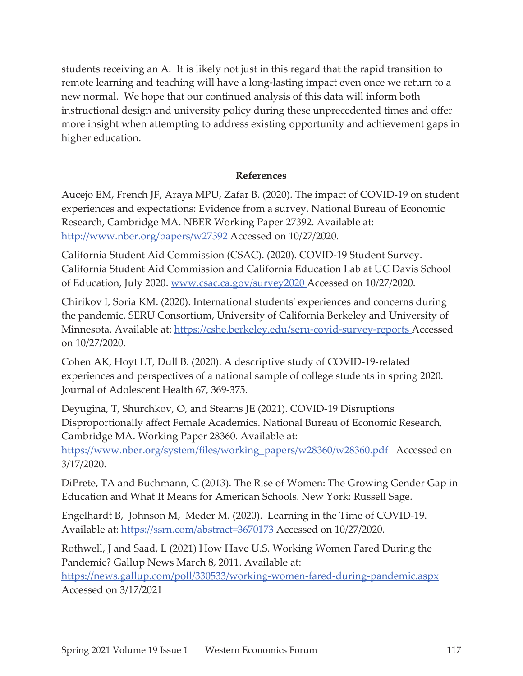students receiving an A. It is likely not just in this regard that the rapid transition to remote learning and teaching will have a long-lasting impact even once we return to a new normal. We hope that our continued analysis of this data will inform both instructional design and university policy during these unprecedented times and offer more insight when attempting to address existing opportunity and achievement gaps in higher education.

## **References**

Aucejo EM, French JF, Araya MPU, Zafar B. (2020). The impact of COVID-19 on student experiences and expectations: Evidence from a survey. National Bureau of Economic Research, Cambridge MA. NBER Working Paper 27392. Available at: http://www.nber.org/papers/w27392 Accessed on 10/27/2020.

California Student Aid Commission (CSAC). (2020). COVID-19 Student Survey. California Student Aid Commission and California Education Lab at UC Davis School of Education, July 2020. www.csac.ca.gov/survey2020 Accessed on 10/27/2020.

Chirikov I, Soria KM. (2020). International students' experiences and concerns during the pandemic. SERU Consortium, University of California Berkeley and University of Minnesota. Available at: https://cshe.berkeley.edu/seru-covid-survey-reports Accessed on 10/27/2020.

Cohen AK, Hoyt LT, Dull B. (2020). A descriptive study of COVID-19-related experiences and perspectives of a national sample of college students in spring 2020. Journal of Adolescent Health 67, 369-375.

Deyugina, T, Shurchkov, O, and Stearns JE (2021). COVID-19 Disruptions Disproportionally affect Female Academics. National Bureau of Economic Research, Cambridge MA. Working Paper 28360. Available at:

https://www.nber.org/system/files/working\_papers/w28360/w28360.pdf Accessed on 3/17/2020.

DiPrete, TA and Buchmann, C (2013). The Rise of Women: The Growing Gender Gap in Education and What It Means for American Schools. New York: Russell Sage.

Engelhardt B, Johnson M, Meder M. (2020). Learning in the Time of COVID-19. Available at: https://ssrn.com/abstract=3670173 Accessed on 10/27/2020.

Rothwell, J and Saad, L (2021) How Have U.S. Working Women Fared During the Pandemic? Gallup News March 8, 2011. Available at:

https://news.gallup.com/poll/330533/working-women-fared-during-pandemic.aspx Accessed on 3/17/2021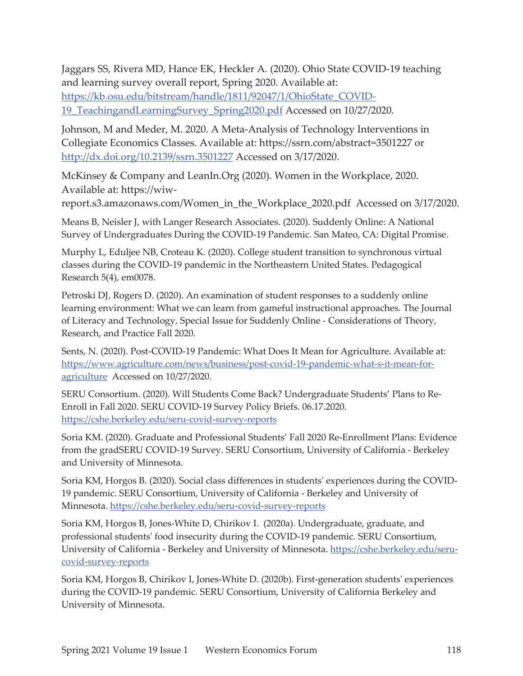Jaggars SS, Rivera MD, Hance EK, Heckler A. (2020). Ohio State COVID-19 teaching and learning survey overall report, Spring 2020. Available at: https://kb.osu.edu/bitstream/handle/1811/92047/1/OhioState\_COVID-19\_TeachingandLearningSurvey\_Spring2020.pdf Accessed on 10/27/2020.

Johnson, M and Meder, M. 2020. A Meta-Analysis of Technology Interventions in Collegiate Economics Classes. Available at: https://ssrn.com/abstract=3501227 or http://dx.doi.org/10.2139/ssrn.3501227 Accessed on 3/17/2020.

McKinsey & Company and LeanIn.Org (2020). Women in the Workplace, 2020. Available at: https://wiw-

report.s3.amazonaws.com/Women\_in\_the\_Workplace\_2020.pdf Accessed on 3/17/2020.

Means B, Neisler J, with Langer Research Associates. (2020). Suddenly Online: A National Survey of Undergraduates During the COVID-19 Pandemic. San Mateo, CA: Digital Promise.

Murphy L, Eduljee NB, Croteau K. (2020). College student transition to synchronous virtual classes during the COVID-19 pandemic in the Northeastern United States. Pedagogical Research 5(4), em0078.

Petroski DJ, Rogers D. (2020). An examination of student responses to a suddenly online learning environment: What we can learn from gameful instructional approaches. The Journal of Literacy and Technology, Special Issue for Suddenly Online - Considerations of Theory, Research, and Practice Fall 2020.

Sents, N. (2020). Post-COVID-19 Pandemic: What Does It Mean for Agriculture. Available at: https://www.agriculture.com/news/business/post-covid-19-pandemic-what-s-it-mean-foragriculture Accessed on 10/27/2020.

SERU Consortium. (2020). Will Students Come Back? Undergraduate Students' Plans to Re-Enroll in Fall 2020. SERU COVID-19 Survey Policy Briefs. 06.17.2020. https://cshe.berkeley.edu/seru-covid-survey-reports

Soria KM. (2020). Graduate and Professional Students' Fall 2020 Re-Enrollment Plans: Evidence from the gradSERU COVID-19 Survey. SERU Consortium, University of California - Berkeley and University of Minnesota.

Soria KM, Horgos B. (2020). Social class differences in students' experiences during the COVID-19 pandemic. SERU Consortium, University of California - Berkeley and University of Minnesota. https://cshe.berkeley.edu/seru-covid-survey-reports

Soria KM, Horgos B, Jones-White D, Chirikov I. (2020a). Undergraduate, graduate, and professional students' food insecurity during the COVID-19 pandemic. SERU Consortium, University of California - Berkeley and University of Minnesota. https://cshe.berkeley.edu/serucovid-survey-reports

Soria KM, Horgos B, Chirikov I, Jones-White D. (2020b). First-generation students' experiences during the COVID-19 pandemic. SERU Consortium, University of California Berkeley and University of Minnesota.